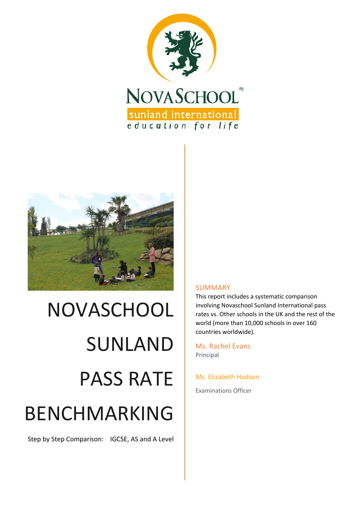



# NOVASCHOOL SUNLAND PASS RATE BENCHMARKING

Step by Step Comparison: IGCSE, AS and A Level

#### SUMMARY

This report includes a systematic comparison involving Novaschool Sunland International pass rates vs. Other schools in the UK and the rest of the world (more than 10,000 schools in over 160 countries worldwide).

Ms. Rachel Evans Principal

Ms. Elizabeth Hodson

Examinations Officer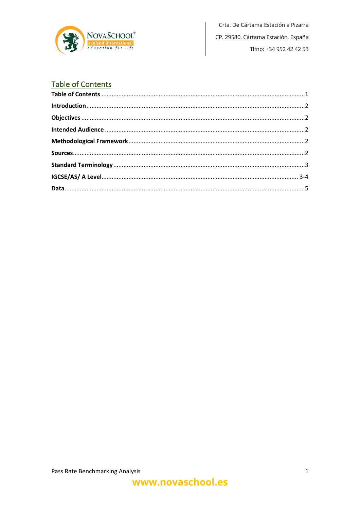

Crta. De Cártama Estación a Pizarra CP. 29580, Cártama Estación, España Tlfno: +34 952 42 42 53

# **Table of Contents**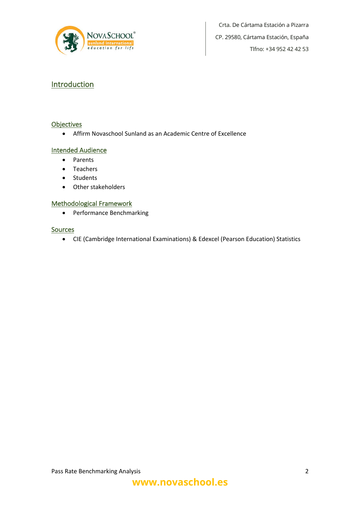

Crta. De Cártama Estación a Pizarra CP. 29580, Cártama Estación, España Tlfno: +34 952 42 42 53

### **Introduction**

#### **Objectives**

• Affirm Novaschool Sunland as an Academic Centre of Excellence

#### Intended Audience

- Parents
- Teachers
- Students
- Other stakeholders

#### Methodological Framework

• Performance Benchmarking

#### Sources

• CIE (Cambridge International Examinations) & Edexcel (Pearson Education) Statistics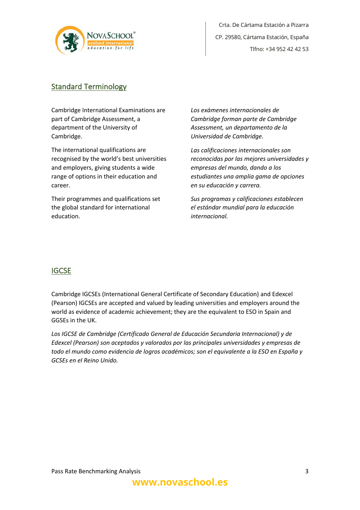

## Standard Terminology

Cambridge International Examinations are part of Cambridge Assessment, a department of the University of Cambridge.

The international qualifications are recognised by the world's best universities and employers, giving students a wide range of options in their education and career.

Their programmes and qualifications set the global standard for international education.

*Los exámenes internacionales de Cambridge forman parte de Cambridge Assessment, un departamento de la Universidad de Cambridge.*

*Las calificaciones internacionales son reconocidas por las mejores universidades y empresas del mundo, dando a los estudiantes una amplia gama de opciones en su educación y carrera.*

*Sus programas y calificaciones establecen el estándar mundial para la educación internacional.*

## **IGCSE**

Cambridge IGCSEs (International General Certificate of Secondary Education) and Edexcel (Pearson) IGCSEs are accepted and valued by leading universities and employers around the world as evidence of academic achievement; they are the equivalent to ESO in Spain and GGSEs in the UK.

*Los IGCSE de Cambridge (Certificado General de Educación Secundaria Internacional) y de Edexcel (Pearson) son aceptados y valorados por las principales universidades y empresas de todo el mundo como evidencia de logros académicos; son el equivalente a la ESO en España y GCSEs en el Reino Unido.*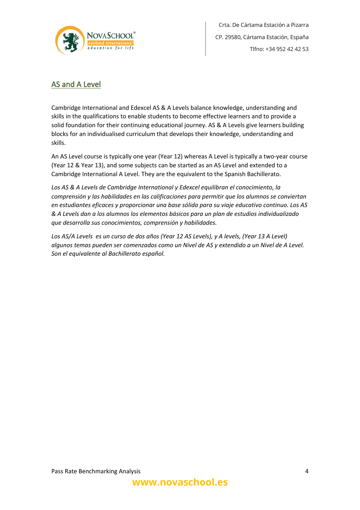

Crta. De Cártama Estación a Pizarra CP. 29580, Cártama Estación, España Tlfno: +34 952 42 42 53

## AS and A Level

Cambridge International and Edexcel AS & A Levels balance knowledge, understanding and skills in the qualifications to enable students to become effective learners and to provide a solid foundation for their continuing educational journey. AS & A Levels give learners building blocks for an individualised curriculum that develops their knowledge, understanding and skills.

An AS Level course is typically one year (Year 12) whereas A Level is typically a two-year course (Year 12 & Year 13), and some subjects can be started as an AS Level and extended to a Cambridge International A Level. They are the equivalent to the Spanish Bachillerato.

*Los AS & A Levels de Cambridge International y Edexcel equilibran el conocimiento, la comprensión y las habilidades en las calificaciones para permitir que los alumnos se conviertan en estudiantes eficaces y proporcionar una base sólida para su viaje educativo continuo. Los AS & A Levels dan a los alumnos los elementos básicos para un plan de estudios individualizado que desarrolla sus conocimientos, comprensión y habilidades.*

*Los AS/A Levels es un curso de dos años (Year 12 AS Levels), y A levels, (Year 13 A Level) algunos temas pueden ser comenzados como un Nivel de AS y extendido a un Nivel de A Level. Son el equivalente al Bachillerato español.*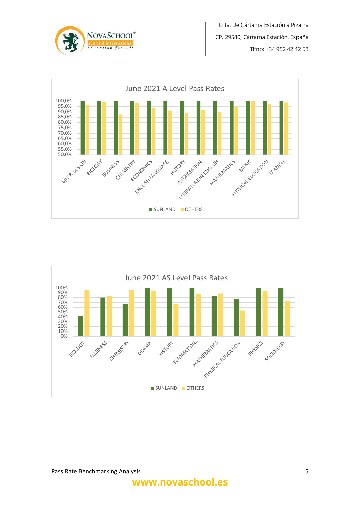